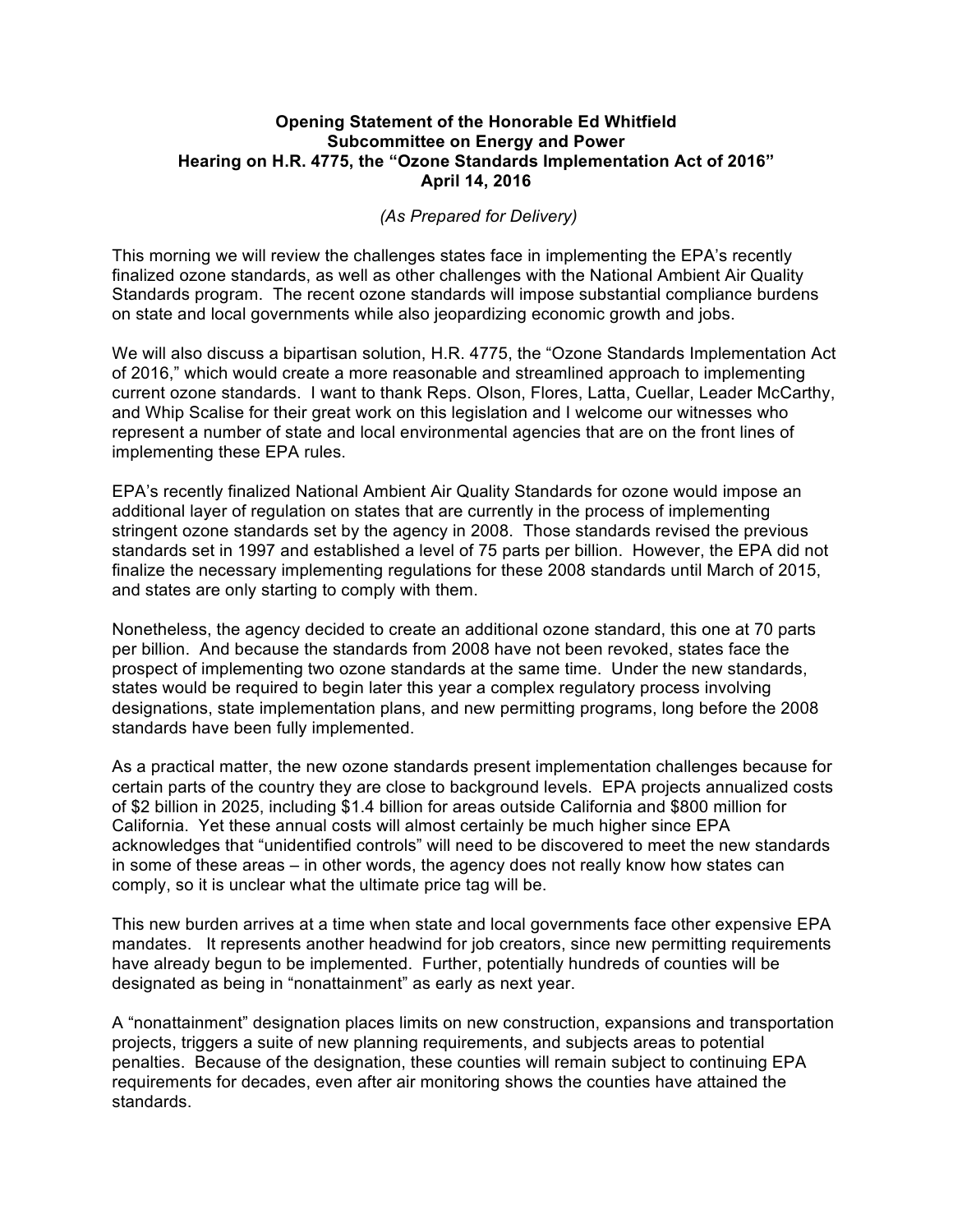## **Opening Statement of the Honorable Ed Whitfield Subcommittee on Energy and Power Hearing on H.R. 4775, the "Ozone Standards Implementation Act of 2016" April 14, 2016**

## *(As Prepared for Delivery)*

This morning we will review the challenges states face in implementing the EPA's recently finalized ozone standards, as well as other challenges with the National Ambient Air Quality Standards program. The recent ozone standards will impose substantial compliance burdens on state and local governments while also jeopardizing economic growth and jobs.

We will also discuss a bipartisan solution, H.R. 4775, the "Ozone Standards Implementation Act of 2016," which would create a more reasonable and streamlined approach to implementing current ozone standards. I want to thank Reps. Olson, Flores, Latta, Cuellar, Leader McCarthy, and Whip Scalise for their great work on this legislation and I welcome our witnesses who represent a number of state and local environmental agencies that are on the front lines of implementing these EPA rules.

EPA's recently finalized National Ambient Air Quality Standards for ozone would impose an additional layer of regulation on states that are currently in the process of implementing stringent ozone standards set by the agency in 2008. Those standards revised the previous standards set in 1997 and established a level of 75 parts per billion. However, the EPA did not finalize the necessary implementing regulations for these 2008 standards until March of 2015, and states are only starting to comply with them.

Nonetheless, the agency decided to create an additional ozone standard, this one at 70 parts per billion. And because the standards from 2008 have not been revoked, states face the prospect of implementing two ozone standards at the same time. Under the new standards, states would be required to begin later this year a complex regulatory process involving designations, state implementation plans, and new permitting programs, long before the 2008 standards have been fully implemented.

As a practical matter, the new ozone standards present implementation challenges because for certain parts of the country they are close to background levels. EPA projects annualized costs of \$2 billion in 2025, including \$1.4 billion for areas outside California and \$800 million for California. Yet these annual costs will almost certainly be much higher since EPA acknowledges that "unidentified controls" will need to be discovered to meet the new standards in some of these areas – in other words, the agency does not really know how states can comply, so it is unclear what the ultimate price tag will be.

This new burden arrives at a time when state and local governments face other expensive EPA mandates. It represents another headwind for job creators, since new permitting requirements have already begun to be implemented. Further, potentially hundreds of counties will be designated as being in "nonattainment" as early as next year.

A "nonattainment" designation places limits on new construction, expansions and transportation projects, triggers a suite of new planning requirements, and subjects areas to potential penalties. Because of the designation, these counties will remain subject to continuing EPA requirements for decades, even after air monitoring shows the counties have attained the standards.